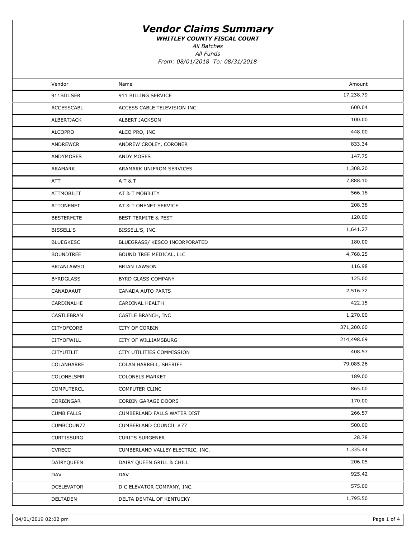WHITLEY COUNTY FISCAL COURT

All Batches

All Funds

| Vendor<br>Amount<br>Name<br>17,238.79<br>911 BILLING SERVICE<br>911BILLSER<br>600.04<br><b>ACCESSCABL</b><br>ACCESS CABLE TELEVISION INC<br>100.00<br>ALBERTJACK<br><b>ALBERT JACKSON</b><br>448.00<br><b>ALCOPRO</b><br>ALCO PRO, INC<br>833.34<br><b>ANDREWCR</b><br>ANDREW CROLEY, CORONER<br>147.75<br><b>ANDYMOSES</b><br>ANDY MOSES<br>1,308.20<br>ARAMARK<br>ARAMARK UNIFROM SERVICES<br>7,888.10<br><b>AT&amp;T</b><br>ATT<br>566.18<br><b>ATTMOBILIT</b><br>AT & T MOBILITY<br>208.38<br><b>ATTONENET</b><br>AT & T ONENET SERVICE<br>120.00<br><b>BESTERMITE</b><br><b>BEST TERMITE &amp; PEST</b><br>1,641.27<br>BISSELL'S<br>BISSELL'S, INC.<br>180.00<br><b>BLUEGKESC</b><br>BLUEGRASS/ KESCO INCORPORATED<br>4,768.25<br><b>BOUNDTREE</b><br>BOUND TREE MEDICAL, LLC<br>116.98<br><b>BRIAN LAWSON</b><br><b>BRIANLAWSO</b><br>125.00<br><b>BYRDGLASS</b><br>BYRD GLASS COMPANY<br>2,516.72<br>CANADAAUT<br>CANADA AUTO PARTS<br>422.15<br>CARDINALHE<br>CARDINAL HEALTH<br>1,270.00<br>CASTLEBRAN<br>CASTLE BRANCH, INC<br>371,200.60<br><b>CITYOFCORB</b><br><b>CITY OF CORBIN</b><br>214,498.69<br><b>CITYOFWILL</b><br>CITY OF WILLIAMSBURG<br>408.57<br>CITYUTILIT<br>CITY UTILITIES COMMISSION<br>79,085.26<br>COLANHARRE<br>COLAN HARRELL, SHERIFF<br>189.00<br><b>COLONELSMR</b><br><b>COLONELS MARKET</b><br>865.00<br>COMPUTERCL<br><b>COMPUTER CLINC</b><br>170.00<br>CORBINGAR<br>CORBIN GARAGE DOORS<br>266.57<br><b>CUMB FALLS</b><br>CUMBERLAND FALLS WATER DIST<br>500.00<br>CUMBCOUN77<br>CUMBERLAND COUNCIL #77<br>28.78<br>CURTISSURG<br><b>CURITS SURGENER</b><br>1,335.44<br><b>CVRECC</b><br>CUMBERLAND VALLEY ELECTRIC, INC. |  |  |  |
|------------------------------------------------------------------------------------------------------------------------------------------------------------------------------------------------------------------------------------------------------------------------------------------------------------------------------------------------------------------------------------------------------------------------------------------------------------------------------------------------------------------------------------------------------------------------------------------------------------------------------------------------------------------------------------------------------------------------------------------------------------------------------------------------------------------------------------------------------------------------------------------------------------------------------------------------------------------------------------------------------------------------------------------------------------------------------------------------------------------------------------------------------------------------------------------------------------------------------------------------------------------------------------------------------------------------------------------------------------------------------------------------------------------------------------------------------------------------------------------------------------------------------------------------------------------------------------------------------------------------------------------------------------------|--|--|--|
|                                                                                                                                                                                                                                                                                                                                                                                                                                                                                                                                                                                                                                                                                                                                                                                                                                                                                                                                                                                                                                                                                                                                                                                                                                                                                                                                                                                                                                                                                                                                                                                                                                                                  |  |  |  |
|                                                                                                                                                                                                                                                                                                                                                                                                                                                                                                                                                                                                                                                                                                                                                                                                                                                                                                                                                                                                                                                                                                                                                                                                                                                                                                                                                                                                                                                                                                                                                                                                                                                                  |  |  |  |
|                                                                                                                                                                                                                                                                                                                                                                                                                                                                                                                                                                                                                                                                                                                                                                                                                                                                                                                                                                                                                                                                                                                                                                                                                                                                                                                                                                                                                                                                                                                                                                                                                                                                  |  |  |  |
|                                                                                                                                                                                                                                                                                                                                                                                                                                                                                                                                                                                                                                                                                                                                                                                                                                                                                                                                                                                                                                                                                                                                                                                                                                                                                                                                                                                                                                                                                                                                                                                                                                                                  |  |  |  |
|                                                                                                                                                                                                                                                                                                                                                                                                                                                                                                                                                                                                                                                                                                                                                                                                                                                                                                                                                                                                                                                                                                                                                                                                                                                                                                                                                                                                                                                                                                                                                                                                                                                                  |  |  |  |
|                                                                                                                                                                                                                                                                                                                                                                                                                                                                                                                                                                                                                                                                                                                                                                                                                                                                                                                                                                                                                                                                                                                                                                                                                                                                                                                                                                                                                                                                                                                                                                                                                                                                  |  |  |  |
|                                                                                                                                                                                                                                                                                                                                                                                                                                                                                                                                                                                                                                                                                                                                                                                                                                                                                                                                                                                                                                                                                                                                                                                                                                                                                                                                                                                                                                                                                                                                                                                                                                                                  |  |  |  |
|                                                                                                                                                                                                                                                                                                                                                                                                                                                                                                                                                                                                                                                                                                                                                                                                                                                                                                                                                                                                                                                                                                                                                                                                                                                                                                                                                                                                                                                                                                                                                                                                                                                                  |  |  |  |
|                                                                                                                                                                                                                                                                                                                                                                                                                                                                                                                                                                                                                                                                                                                                                                                                                                                                                                                                                                                                                                                                                                                                                                                                                                                                                                                                                                                                                                                                                                                                                                                                                                                                  |  |  |  |
|                                                                                                                                                                                                                                                                                                                                                                                                                                                                                                                                                                                                                                                                                                                                                                                                                                                                                                                                                                                                                                                                                                                                                                                                                                                                                                                                                                                                                                                                                                                                                                                                                                                                  |  |  |  |
|                                                                                                                                                                                                                                                                                                                                                                                                                                                                                                                                                                                                                                                                                                                                                                                                                                                                                                                                                                                                                                                                                                                                                                                                                                                                                                                                                                                                                                                                                                                                                                                                                                                                  |  |  |  |
|                                                                                                                                                                                                                                                                                                                                                                                                                                                                                                                                                                                                                                                                                                                                                                                                                                                                                                                                                                                                                                                                                                                                                                                                                                                                                                                                                                                                                                                                                                                                                                                                                                                                  |  |  |  |
|                                                                                                                                                                                                                                                                                                                                                                                                                                                                                                                                                                                                                                                                                                                                                                                                                                                                                                                                                                                                                                                                                                                                                                                                                                                                                                                                                                                                                                                                                                                                                                                                                                                                  |  |  |  |
|                                                                                                                                                                                                                                                                                                                                                                                                                                                                                                                                                                                                                                                                                                                                                                                                                                                                                                                                                                                                                                                                                                                                                                                                                                                                                                                                                                                                                                                                                                                                                                                                                                                                  |  |  |  |
|                                                                                                                                                                                                                                                                                                                                                                                                                                                                                                                                                                                                                                                                                                                                                                                                                                                                                                                                                                                                                                                                                                                                                                                                                                                                                                                                                                                                                                                                                                                                                                                                                                                                  |  |  |  |
|                                                                                                                                                                                                                                                                                                                                                                                                                                                                                                                                                                                                                                                                                                                                                                                                                                                                                                                                                                                                                                                                                                                                                                                                                                                                                                                                                                                                                                                                                                                                                                                                                                                                  |  |  |  |
|                                                                                                                                                                                                                                                                                                                                                                                                                                                                                                                                                                                                                                                                                                                                                                                                                                                                                                                                                                                                                                                                                                                                                                                                                                                                                                                                                                                                                                                                                                                                                                                                                                                                  |  |  |  |
|                                                                                                                                                                                                                                                                                                                                                                                                                                                                                                                                                                                                                                                                                                                                                                                                                                                                                                                                                                                                                                                                                                                                                                                                                                                                                                                                                                                                                                                                                                                                                                                                                                                                  |  |  |  |
|                                                                                                                                                                                                                                                                                                                                                                                                                                                                                                                                                                                                                                                                                                                                                                                                                                                                                                                                                                                                                                                                                                                                                                                                                                                                                                                                                                                                                                                                                                                                                                                                                                                                  |  |  |  |
|                                                                                                                                                                                                                                                                                                                                                                                                                                                                                                                                                                                                                                                                                                                                                                                                                                                                                                                                                                                                                                                                                                                                                                                                                                                                                                                                                                                                                                                                                                                                                                                                                                                                  |  |  |  |
|                                                                                                                                                                                                                                                                                                                                                                                                                                                                                                                                                                                                                                                                                                                                                                                                                                                                                                                                                                                                                                                                                                                                                                                                                                                                                                                                                                                                                                                                                                                                                                                                                                                                  |  |  |  |
|                                                                                                                                                                                                                                                                                                                                                                                                                                                                                                                                                                                                                                                                                                                                                                                                                                                                                                                                                                                                                                                                                                                                                                                                                                                                                                                                                                                                                                                                                                                                                                                                                                                                  |  |  |  |
|                                                                                                                                                                                                                                                                                                                                                                                                                                                                                                                                                                                                                                                                                                                                                                                                                                                                                                                                                                                                                                                                                                                                                                                                                                                                                                                                                                                                                                                                                                                                                                                                                                                                  |  |  |  |
|                                                                                                                                                                                                                                                                                                                                                                                                                                                                                                                                                                                                                                                                                                                                                                                                                                                                                                                                                                                                                                                                                                                                                                                                                                                                                                                                                                                                                                                                                                                                                                                                                                                                  |  |  |  |
|                                                                                                                                                                                                                                                                                                                                                                                                                                                                                                                                                                                                                                                                                                                                                                                                                                                                                                                                                                                                                                                                                                                                                                                                                                                                                                                                                                                                                                                                                                                                                                                                                                                                  |  |  |  |
|                                                                                                                                                                                                                                                                                                                                                                                                                                                                                                                                                                                                                                                                                                                                                                                                                                                                                                                                                                                                                                                                                                                                                                                                                                                                                                                                                                                                                                                                                                                                                                                                                                                                  |  |  |  |
|                                                                                                                                                                                                                                                                                                                                                                                                                                                                                                                                                                                                                                                                                                                                                                                                                                                                                                                                                                                                                                                                                                                                                                                                                                                                                                                                                                                                                                                                                                                                                                                                                                                                  |  |  |  |
|                                                                                                                                                                                                                                                                                                                                                                                                                                                                                                                                                                                                                                                                                                                                                                                                                                                                                                                                                                                                                                                                                                                                                                                                                                                                                                                                                                                                                                                                                                                                                                                                                                                                  |  |  |  |
|                                                                                                                                                                                                                                                                                                                                                                                                                                                                                                                                                                                                                                                                                                                                                                                                                                                                                                                                                                                                                                                                                                                                                                                                                                                                                                                                                                                                                                                                                                                                                                                                                                                                  |  |  |  |
|                                                                                                                                                                                                                                                                                                                                                                                                                                                                                                                                                                                                                                                                                                                                                                                                                                                                                                                                                                                                                                                                                                                                                                                                                                                                                                                                                                                                                                                                                                                                                                                                                                                                  |  |  |  |
|                                                                                                                                                                                                                                                                                                                                                                                                                                                                                                                                                                                                                                                                                                                                                                                                                                                                                                                                                                                                                                                                                                                                                                                                                                                                                                                                                                                                                                                                                                                                                                                                                                                                  |  |  |  |
| 206.05<br>DAIRYQUEEN<br>DAIRY QUEEN GRILL & CHILL                                                                                                                                                                                                                                                                                                                                                                                                                                                                                                                                                                                                                                                                                                                                                                                                                                                                                                                                                                                                                                                                                                                                                                                                                                                                                                                                                                                                                                                                                                                                                                                                                |  |  |  |
| 925.42<br>DAV<br>DAV                                                                                                                                                                                                                                                                                                                                                                                                                                                                                                                                                                                                                                                                                                                                                                                                                                                                                                                                                                                                                                                                                                                                                                                                                                                                                                                                                                                                                                                                                                                                                                                                                                             |  |  |  |
| 575.00<br>DCELEVATOR<br>D C ELEVATOR COMPANY, INC.                                                                                                                                                                                                                                                                                                                                                                                                                                                                                                                                                                                                                                                                                                                                                                                                                                                                                                                                                                                                                                                                                                                                                                                                                                                                                                                                                                                                                                                                                                                                                                                                               |  |  |  |
| 1,795.50<br><b>DELTADEN</b><br>DELTA DENTAL OF KENTUCKY                                                                                                                                                                                                                                                                                                                                                                                                                                                                                                                                                                                                                                                                                                                                                                                                                                                                                                                                                                                                                                                                                                                                                                                                                                                                                                                                                                                                                                                                                                                                                                                                          |  |  |  |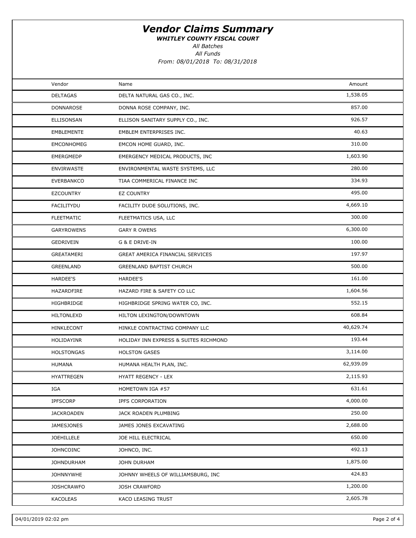WHITLEY COUNTY FISCAL COURT

All Batches

All Funds

| Vendor            | Name                                  | Amount    |  |
|-------------------|---------------------------------------|-----------|--|
| <b>DELTAGAS</b>   | DELTA NATURAL GAS CO., INC.           | 1,538.05  |  |
| DONNAROSE         | DONNA ROSE COMPANY, INC.              | 857.00    |  |
| ELLISONSAN        | ELLISON SANITARY SUPPLY CO., INC.     | 926.57    |  |
| EMBLEMENTE        | EMBLEM ENTERPRISES INC.               | 40.63     |  |
| <b>EMCONHOMEG</b> | EMCON HOME GUARD, INC.                | 310.00    |  |
| <b>EMERGMEDP</b>  | EMERGENCY MEDICAL PRODUCTS, INC       | 1,603.90  |  |
| <b>ENVIRWASTE</b> | ENVIRONMENTAL WASTE SYSTEMS, LLC      | 280.00    |  |
| EVERBANKCO        | TIAA COMMERICAL FINANCE INC           | 334.93    |  |
| <b>EZCOUNTRY</b>  | <b>EZ COUNTRY</b>                     | 495.00    |  |
| FACILITYDU        | FACILITY DUDE SOLUTIONS, INC.         | 4,669.10  |  |
| <b>FLEETMATIC</b> | FLEETMATICS USA, LLC                  | 300.00    |  |
| <b>GARYROWENS</b> | <b>GARY R OWENS</b>                   | 6,300.00  |  |
| GEDRIVEIN         | G & E DRIVE-IN                        | 100.00    |  |
| GREATAMERI        | GREAT AMERICA FINANCIAL SERVICES      | 197.97    |  |
| <b>GREENLAND</b>  | <b>GREENLAND BAPTIST CHURCH</b>       | 500.00    |  |
| HARDEE'S          | HARDEE'S                              | 161.00    |  |
| HAZARDFIRE        | HAZARD FIRE & SAFETY CO LLC           | 1,604.56  |  |
| HIGHBRIDGE        | HIGHBRIDGE SPRING WATER CO, INC.      | 552.15    |  |
| HILTONLEXD        | HILTON LEXINGTON/DOWNTOWN             | 608.84    |  |
| HINKLECONT        | HINKLE CONTRACTING COMPANY LLC        | 40,629.74 |  |
| HOLIDAYINR        | HOLIDAY INN EXPRESS & SUITES RICHMOND | 193.44    |  |
| <b>HOLSTONGAS</b> | <b>HOLSTON GASES</b>                  | 3,114.00  |  |
| HUMANA            | HUMANA HEALTH PLAN, INC.              | 62,939.09 |  |
| HYATTREGEN        | HYATT REGENCY - LEX                   | 2,115.93  |  |
| IGA               | HOMETOWN IGA #57                      | 631.61    |  |
| IPFSCORP          | <b>IPFS CORPORATION</b>               | 4,000.00  |  |
| <b>JACKROADEN</b> | JACK ROADEN PLUMBING                  | 250.00    |  |
| <b>JAMESJONES</b> | JAMES JONES EXCAVATING                | 2,688.00  |  |
| <b>JOEHILLELE</b> | JOE HILL ELECTRICAL                   | 650.00    |  |
| <b>JOHNCOINC</b>  | JOHNCO, INC.                          | 492.13    |  |
| <b>JOHNDURHAM</b> | JOHN DURHAM                           | 1,875.00  |  |
| <b>JOHNNYWHE</b>  | JOHNNY WHEELS OF WILLIAMSBURG, INC    | 424.83    |  |
| <b>JOSHCRAWFO</b> | <b>JOSH CRAWFORD</b>                  | 1,200.00  |  |
| <b>KACOLEAS</b>   | KACO LEASING TRUST                    | 2,605.78  |  |
|                   |                                       |           |  |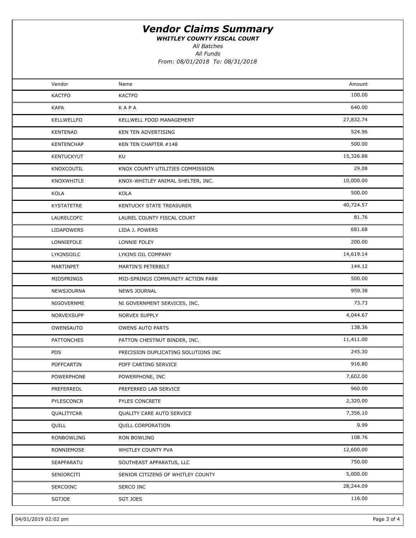WHITLEY COUNTY FISCAL COURT

All Batches

All Funds

| Vendor            | Name                                | Amount    |  |
|-------------------|-------------------------------------|-----------|--|
| <b>KACTFO</b>     | <b>KACTFO</b>                       | 100.00    |  |
| <b>KAPA</b>       | KAPA                                | 640.00    |  |
| KELLWELLFO        | KELLWELL FOOD MANAGEMENT            | 27,832.74 |  |
| KENTENAD          | KEN TEN ADVERTISING                 | 524.96    |  |
| <b>KENTENCHAP</b> | KEN TEN CHAPTER #148                | 500.00    |  |
| <b>KENTUCKYUT</b> | KU                                  | 15,326.88 |  |
| KNOXCOUTIL        | KNOX COUNTY UTILITIES COMMISSION    | 29.08     |  |
| KNOXWHITLE        | KNOX-WHITLEY ANIMAL SHELTER, INC.   | 10,000.00 |  |
| KOLA              | KOLA                                | 500.00    |  |
| KYSTATETRE        | KENTUCKY STATE TREASURER            | 40,724.57 |  |
| LAURELCOFC        | LAUREL COUNTY FISCAL COURT          | 81.76     |  |
| <b>LIDAPOWERS</b> | LIDA J. POWERS                      | 681.68    |  |
| LONNIEFOLE        | LONNIE FOLEY                        | 200.00    |  |
| LYKINSOILC        | LYKINS OIL COMPANY                  | 14,619.14 |  |
| MARTINPET         | MARTIN'S PETERBILT                  | 144.12    |  |
| MIDSPRINGS        | MID-SPRINGS COMMUNITY ACTION PARK   | 500.00    |  |
| NEWSJOURNA        | <b>NEWS JOURNAL</b>                 | 959.38    |  |
| NIGOVERNME        | NI GOVERNMENT SERVICES, INC.        | 73.73     |  |
| NORVEXSUPP        | <b>NORVEX SUPPLY</b>                | 4,044.67  |  |
| OWENSAUTO         | <b>OWENS AUTO PARTS</b>             | 138.36    |  |
| <b>PATTONCHES</b> | PATTON CHESTNUT BINDER, INC.        | 11,411.00 |  |
| PDS               | PRECISION DUPLICATING SOLUTIONS INC | 245.30    |  |
| POFFCARTIN        | POFF CARTING SERVICE                | 916.80    |  |
| POWERPHONE        | POWERPHONE, INC                     | 7,602.00  |  |
| PREFERREDL        | PREFERRED LAB SERVICE               | 960.00    |  |
| PYLESCONCR        | PYLES CONCRETE                      | 2,320.00  |  |
| QUALITYCAR        | QUALITY CARE AUTO SERVICE           | 7,356.10  |  |
| QUILL             | <b>QUILL CORPORATION</b>            | 9.99      |  |
| RONBOWLING        | RON BOWLING                         | 108.76    |  |
| RONNIEMOSE        | WHITLEY COUNTY PVA                  | 12,600.00 |  |
| SEAPPARATU        | SOUTHEAST APPARATUS, LLC            | 750.00    |  |
| SENIORCITI        | SENIOR CITIZENS OF WHITLEY COUNTY   | 5,000.00  |  |
| SERCOINC          | SERCO INC                           | 28,244.09 |  |
| SGTJOE            | SGT JOES                            | 116.00    |  |
|                   |                                     |           |  |